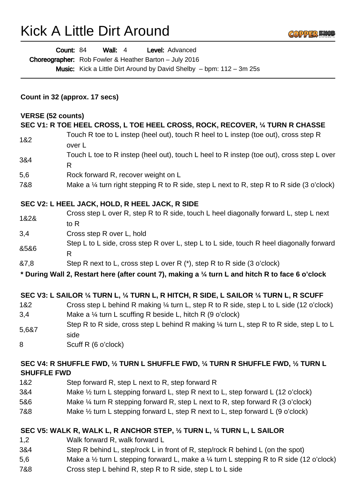# Kick A Little Dirt Around

Count: 84

Choreographer: Rob Fowler & Heather Barton - July 2016

Wall: 4 Level: Advanced

| <b>Music:</b> Kick a Little Dirt Around by David Shelby $-$ bpm: 112 $-$ 3m 25s<br>Count in 32 (approx. 17 secs) |                                                                                                           |
|------------------------------------------------------------------------------------------------------------------|-----------------------------------------------------------------------------------------------------------|
|                                                                                                                  |                                                                                                           |
|                                                                                                                  | SEC V1: R TOE HEEL CROSS, L TOE HEEL CROSS, ROCK, RECOVER, 1/4 TURN R CHASSE                              |
| 1&2                                                                                                              | Touch R toe to L instep (heel out), touch R heel to L instep (toe out), cross step R<br>over L            |
| 3&4                                                                                                              | Touch L toe to R instep (heel out), touch L heel to R instep (toe out), cross step L over<br>$\mathsf{R}$ |
| 5,6                                                                                                              | Rock forward R, recover weight on L                                                                       |
| 7&8                                                                                                              | Make a $\frac{1}{4}$ turn right stepping R to R side, step L next to R, step R to R side (3 o'clock)      |
|                                                                                                                  | SEC V2: L HEEL JACK, HOLD, R HEEL JACK, R SIDE                                                            |
| 1&2&                                                                                                             | Cross step L over R, step R to R side, touch L heel diagonally forward L, step L next<br>to $R$           |
| 3,4                                                                                                              | Cross step R over L, hold                                                                                 |
| &5&6                                                                                                             | Step L to L side, cross step R over L, step L to L side, touch R heel diagonally forward<br>R             |
| 87,8                                                                                                             | Step R next to L, cross step L over R (*), step R to R side (3 o'clock)                                   |
|                                                                                                                  | * During Wall 2, Restart here (after count 7), making a 1/4 turn L and hitch R to face 6 o'clock          |
|                                                                                                                  | SEC V3: L SAILOR 1/4 TURN L, 1/4 TURN L, R HITCH, R SIDE, L SAILOR 1/4 TURN L, R SCUFF                    |
| 1&2                                                                                                              | Cross step L behind R making 1/4 turn L, step R to R side, step L to L side (12 o'clock)                  |
| 3,4                                                                                                              | Make a 1/4 turn L scuffing R beside L, hitch R (9 o'clock)                                                |
| 5,6&7                                                                                                            | Step R to R side, cross step L behind R making 1/4 turn L, step R to R side, step L to L<br>side          |
| 8                                                                                                                | Scuff R (6 o'clock)                                                                                       |
|                                                                                                                  | SEC V4: R SHUFFLE FWD, 1/2 TURN L SHUFFLE FWD, 1/4 TURN R SHUFFLE FWD, 1/2 TURN L                         |

GOPPER KN

#### **SHUFFLE FWD**

5,6&7

- 1&2 Step forward R, step L next to R, step forward R
- 3&4 Make ½ turn L stepping forward L, step R next to L, step forward L (12 o'clock)
- 5&6 Make ¼ turn R stepping forward R, step L next to R, step forward R (3 o'clock)
- 7&8 Make ½ turn L stepping forward L, step R next to L, step forward L (9 o'clock)

#### **SEC V5: WALK R, WALK L, R ANCHOR STEP, ½ TURN L, ¼ TURN L, L SAILOR**

- 1,2 Walk forward R, walk forward L
- 3&4 Step R behind L, step/rock L in front of R, step/rock R behind L (on the spot)
- 5,6 Make a ½ turn L stepping forward L, make a ¼ turn L stepping R to R side (12 o'clock)
- 7&8 Cross step L behind R, step R to R side, step L to L side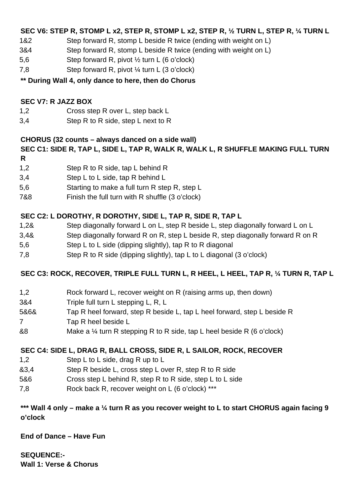## **SEC V6: STEP R, STOMP L x2, STEP R, STOMP L x2, STEP R, ½ TURN L, STEP R, ¼ TURN L**

- 1&2 Step forward R, stomp L beside R twice (ending with weight on L)
- 3&4 Step forward R, stomp L beside R twice (ending with weight on L)
- 5,6 Step forward R, pivot ½ turn L (6 o'clock)
- 7,8 Step forward R, pivot ¼ turn L (3 o'clock)

# **\*\* During Wall 4, only dance to here, then do Chorus**

# **SEC V7: R JAZZ BOX**

- 1,2 Cross step R over L, step back L
- 3,4 Step R to R side, step L next to R

### **CHORUS (32 counts – always danced on a side wall)**

#### **SEC C1: SIDE R, TAP L, SIDE L, TAP R, WALK R, WALK L, R SHUFFLE MAKING FULL TURN R**

- 1,2 Step R to R side, tap L behind R
- 3,4 Step L to L side, tap R behind L
- 5,6 Starting to make a full turn R step R, step L
- 7&8 Finish the full turn with R shuffle (3 o'clock)

# **SEC C2: L DOROTHY, R DOROTHY, SIDE L, TAP R, SIDE R, TAP L**

- 1,2& Step diagonally forward L on L, step R beside L, step diagonally forward L on L
- 3,4& Step diagonally forward R on R, step L beside R, step diagonally forward R on R
- 5,6 Step L to L side (dipping slightly), tap R to R diagonal
- 7,8 Step R to R side (dipping slightly), tap L to L diagonal (3 o'clock)

# **SEC C3: ROCK, RECOVER, TRIPLE FULL TURN L, R HEEL, L HEEL, TAP R, ¼ TURN R, TAP L**

- 1,2 Rock forward L, recover weight on R (raising arms up, then down)
- 3&4 Triple full turn L stepping L, R, L
- 5&6& Tap R heel forward, step R beside L, tap L heel forward, step L beside R
- 7 Tap R heel beside L
- &8 Make a ¼ turn R stepping R to R side, tap L heel beside R (6 o'clock)

# **SEC C4: SIDE L, DRAG R, BALL CROSS, SIDE R, L SAILOR, ROCK, RECOVER**

- 1,2 Step L to L side, drag R up to L
- &3,4 Step R beside L, cross step L over R, step R to R side
- 5&6 Cross step L behind R, step R to R side, step L to L side
- 7,8 Rock back R, recover weight on L (6 o'clock) \*\*\*

### **\*\*\* Wall 4 only – make a ¼ turn R as you recover weight to L to start CHORUS again facing 9 o'clock**

**End of Dance – Have Fun**

**SEQUENCE:- Wall 1: Verse & Chorus**